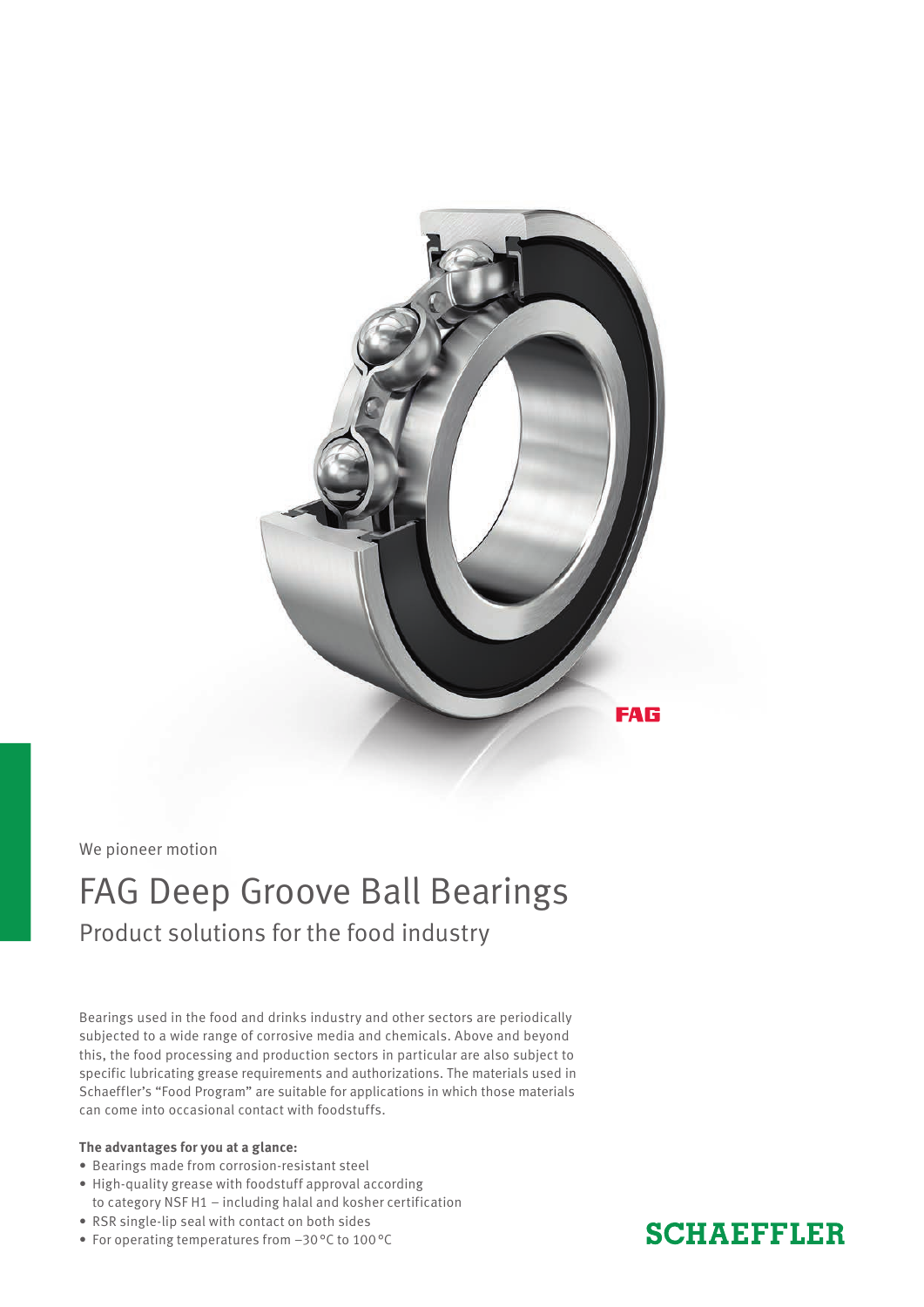

We pioneer motion

## FAG Deep Groove Ball Bearings Product solutions for the food industry

Bearings used in the food and drinks industry and other sectors are periodically subjected to a wide range of corrosive media and chemicals. Above and beyond this, the food processing and production sectors in particular are also subject to specific lubricating grease requirements and authorizations. The materials used in Schaeffler's "Food Program" are suitable for applications in which those materials can come into occasional contact with foodstuffs.

#### **The advantages for you at a glance:**

- Bearings made from corrosion-resistant steel
- High-quality grease with foodstuff approval according
- to category NSF H1 including halal and kosher certification
- RSR single-lip seal with contact on both sides
- For operating temperatures from –30°C to 100°C

### **SCHAEFFLER**